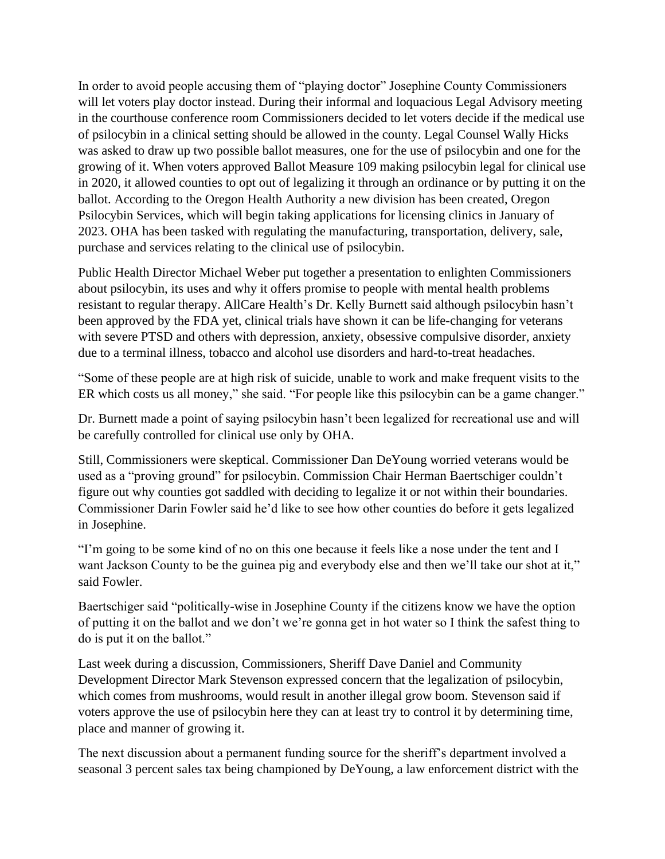In order to avoid people accusing them of "playing doctor" Josephine County Commissioners will let voters play doctor instead. During their informal and loquacious Legal Advisory meeting in the courthouse conference room Commissioners decided to let voters decide if the medical use of psilocybin in a clinical setting should be allowed in the county. Legal Counsel Wally Hicks was asked to draw up two possible ballot measures, one for the use of psilocybin and one for the growing of it. When voters approved Ballot Measure 109 making psilocybin legal for clinical use in 2020, it allowed counties to opt out of legalizing it through an ordinance or by putting it on the ballot. According to the Oregon Health Authority a new division has been created, Oregon Psilocybin Services, which will begin taking applications for licensing clinics in January of 2023. OHA has been tasked with regulating the manufacturing, transportation, delivery, sale, purchase and services relating to the clinical use of psilocybin.

Public Health Director Michael Weber put together a presentation to enlighten Commissioners about psilocybin, its uses and why it offers promise to people with mental health problems resistant to regular therapy. AllCare Health's Dr. Kelly Burnett said although psilocybin hasn't been approved by the FDA yet, clinical trials have shown it can be life-changing for veterans with severe PTSD and others with depression, anxiety, obsessive compulsive disorder, anxiety due to a terminal illness, tobacco and alcohol use disorders and hard-to-treat headaches.

"Some of these people are at high risk of suicide, unable to work and make frequent visits to the ER which costs us all money," she said. "For people like this psilocybin can be a game changer."

Dr. Burnett made a point of saying psilocybin hasn't been legalized for recreational use and will be carefully controlled for clinical use only by OHA.

Still, Commissioners were skeptical. Commissioner Dan DeYoung worried veterans would be used as a "proving ground" for psilocybin. Commission Chair Herman Baertschiger couldn't figure out why counties got saddled with deciding to legalize it or not within their boundaries. Commissioner Darin Fowler said he'd like to see how other counties do before it gets legalized in Josephine.

"I'm going to be some kind of no on this one because it feels like a nose under the tent and I want Jackson County to be the guinea pig and everybody else and then we'll take our shot at it," said Fowler.

Baertschiger said "politically-wise in Josephine County if the citizens know we have the option of putting it on the ballot and we don't we're gonna get in hot water so I think the safest thing to do is put it on the ballot."

Last week during a discussion, Commissioners, Sheriff Dave Daniel and Community Development Director Mark Stevenson expressed concern that the legalization of psilocybin, which comes from mushrooms, would result in another illegal grow boom. Stevenson said if voters approve the use of psilocybin here they can at least try to control it by determining time, place and manner of growing it.

The next discussion about a permanent funding source for the sheriff's department involved a seasonal 3 percent sales tax being championed by DeYoung, a law enforcement district with the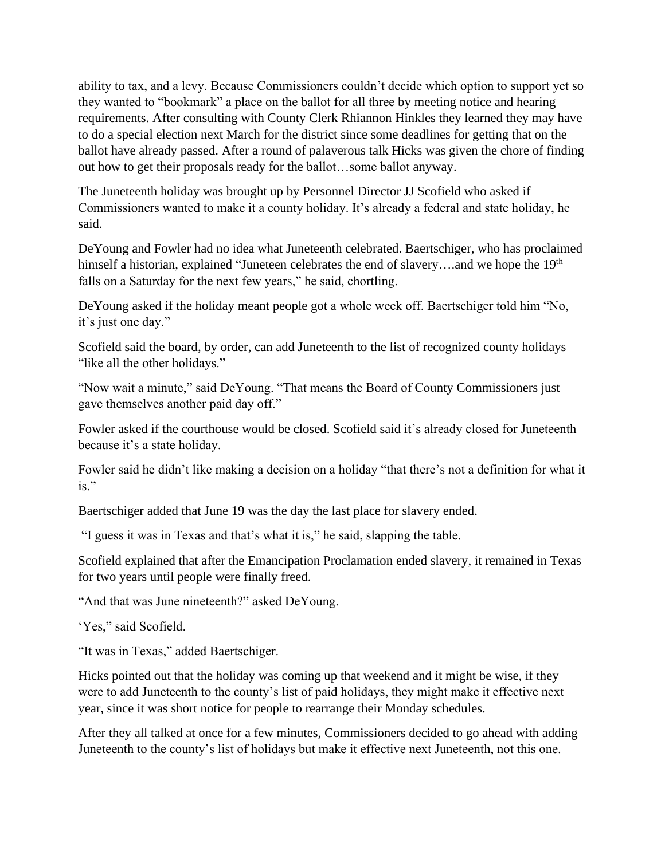ability to tax, and a levy. Because Commissioners couldn't decide which option to support yet so they wanted to "bookmark" a place on the ballot for all three by meeting notice and hearing requirements. After consulting with County Clerk Rhiannon Hinkles they learned they may have to do a special election next March for the district since some deadlines for getting that on the ballot have already passed. After a round of palaverous talk Hicks was given the chore of finding out how to get their proposals ready for the ballot…some ballot anyway.

The Juneteenth holiday was brought up by Personnel Director JJ Scofield who asked if Commissioners wanted to make it a county holiday. It's already a federal and state holiday, he said.

DeYoung and Fowler had no idea what Juneteenth celebrated. Baertschiger, who has proclaimed himself a historian, explained "Juneteen celebrates the end of slavery....and we hope the 19<sup>th</sup> falls on a Saturday for the next few years," he said, chortling.

DeYoung asked if the holiday meant people got a whole week off. Baertschiger told him "No, it's just one day."

Scofield said the board, by order, can add Juneteenth to the list of recognized county holidays "like all the other holidays."

"Now wait a minute," said DeYoung. "That means the Board of County Commissioners just gave themselves another paid day off."

Fowler asked if the courthouse would be closed. Scofield said it's already closed for Juneteenth because it's a state holiday.

Fowler said he didn't like making a decision on a holiday "that there's not a definition for what it is."

Baertschiger added that June 19 was the day the last place for slavery ended.

"I guess it was in Texas and that's what it is," he said, slapping the table.

Scofield explained that after the Emancipation Proclamation ended slavery, it remained in Texas for two years until people were finally freed.

"And that was June nineteenth?" asked DeYoung.

'Yes," said Scofield.

"It was in Texas," added Baertschiger.

Hicks pointed out that the holiday was coming up that weekend and it might be wise, if they were to add Juneteenth to the county's list of paid holidays, they might make it effective next year, since it was short notice for people to rearrange their Monday schedules.

After they all talked at once for a few minutes, Commissioners decided to go ahead with adding Juneteenth to the county's list of holidays but make it effective next Juneteenth, not this one.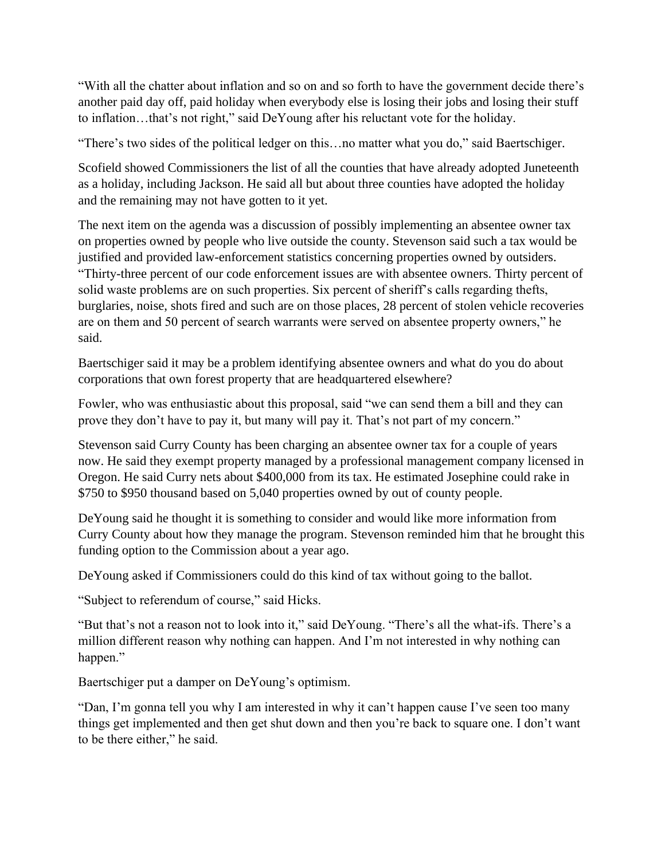"With all the chatter about inflation and so on and so forth to have the government decide there's another paid day off, paid holiday when everybody else is losing their jobs and losing their stuff to inflation…that's not right," said DeYoung after his reluctant vote for the holiday.

"There's two sides of the political ledger on this…no matter what you do," said Baertschiger.

Scofield showed Commissioners the list of all the counties that have already adopted Juneteenth as a holiday, including Jackson. He said all but about three counties have adopted the holiday and the remaining may not have gotten to it yet.

The next item on the agenda was a discussion of possibly implementing an absentee owner tax on properties owned by people who live outside the county. Stevenson said such a tax would be justified and provided law-enforcement statistics concerning properties owned by outsiders. "Thirty-three percent of our code enforcement issues are with absentee owners. Thirty percent of solid waste problems are on such properties. Six percent of sheriff's calls regarding thefts, burglaries, noise, shots fired and such are on those places, 28 percent of stolen vehicle recoveries are on them and 50 percent of search warrants were served on absentee property owners," he said.

Baertschiger said it may be a problem identifying absentee owners and what do you do about corporations that own forest property that are headquartered elsewhere?

Fowler, who was enthusiastic about this proposal, said "we can send them a bill and they can prove they don't have to pay it, but many will pay it. That's not part of my concern."

Stevenson said Curry County has been charging an absentee owner tax for a couple of years now. He said they exempt property managed by a professional management company licensed in Oregon. He said Curry nets about \$400,000 from its tax. He estimated Josephine could rake in \$750 to \$950 thousand based on 5,040 properties owned by out of county people.

DeYoung said he thought it is something to consider and would like more information from Curry County about how they manage the program. Stevenson reminded him that he brought this funding option to the Commission about a year ago.

DeYoung asked if Commissioners could do this kind of tax without going to the ballot.

"Subject to referendum of course," said Hicks.

"But that's not a reason not to look into it," said DeYoung. "There's all the what-ifs. There's a million different reason why nothing can happen. And I'm not interested in why nothing can happen."

Baertschiger put a damper on DeYoung's optimism.

"Dan, I'm gonna tell you why I am interested in why it can't happen cause I've seen too many things get implemented and then get shut down and then you're back to square one. I don't want to be there either," he said.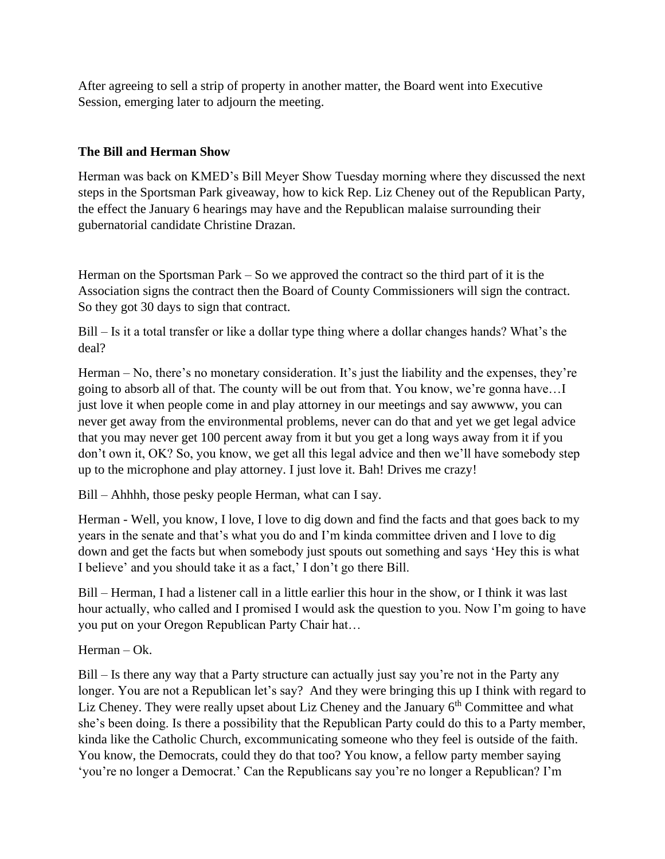After agreeing to sell a strip of property in another matter, the Board went into Executive Session, emerging later to adjourn the meeting.

## **The Bill and Herman Show**

Herman was back on KMED's Bill Meyer Show Tuesday morning where they discussed the next steps in the Sportsman Park giveaway, how to kick Rep. Liz Cheney out of the Republican Party, the effect the January 6 hearings may have and the Republican malaise surrounding their gubernatorial candidate Christine Drazan.

Herman on the Sportsman Park – So we approved the contract so the third part of it is the Association signs the contract then the Board of County Commissioners will sign the contract. So they got 30 days to sign that contract.

Bill – Is it a total transfer or like a dollar type thing where a dollar changes hands? What's the deal?

Herman – No, there's no monetary consideration. It's just the liability and the expenses, they're going to absorb all of that. The county will be out from that. You know, we're gonna have…I just love it when people come in and play attorney in our meetings and say awwww, you can never get away from the environmental problems, never can do that and yet we get legal advice that you may never get 100 percent away from it but you get a long ways away from it if you don't own it, OK? So, you know, we get all this legal advice and then we'll have somebody step up to the microphone and play attorney. I just love it. Bah! Drives me crazy!

Bill – Ahhhh, those pesky people Herman, what can I say.

Herman - Well, you know, I love, I love to dig down and find the facts and that goes back to my years in the senate and that's what you do and I'm kinda committee driven and I love to dig down and get the facts but when somebody just spouts out something and says 'Hey this is what I believe' and you should take it as a fact,' I don't go there Bill.

Bill – Herman, I had a listener call in a little earlier this hour in the show, or I think it was last hour actually, who called and I promised I would ask the question to you. Now I'm going to have you put on your Oregon Republican Party Chair hat…

Herman – Ok.

Bill – Is there any way that a Party structure can actually just say you're not in the Party any longer. You are not a Republican let's say? And they were bringing this up I think with regard to Liz Cheney. They were really upset about Liz Cheney and the January 6<sup>th</sup> Committee and what she's been doing. Is there a possibility that the Republican Party could do this to a Party member, kinda like the Catholic Church, excommunicating someone who they feel is outside of the faith. You know, the Democrats, could they do that too? You know, a fellow party member saying 'you're no longer a Democrat.' Can the Republicans say you're no longer a Republican? I'm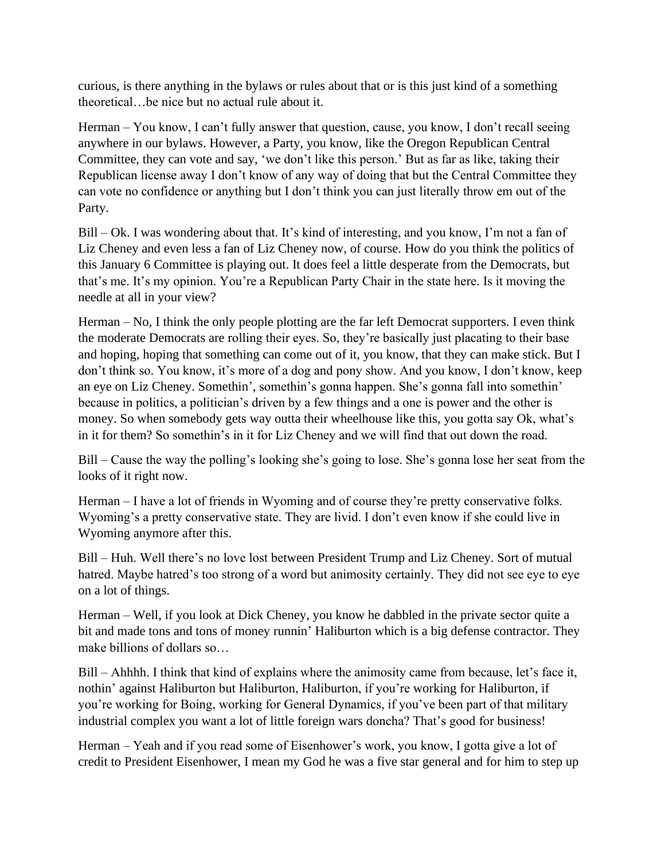curious, is there anything in the bylaws or rules about that or is this just kind of a something theoretical…be nice but no actual rule about it.

Herman – You know, I can't fully answer that question, cause, you know, I don't recall seeing anywhere in our bylaws. However, a Party, you know, like the Oregon Republican Central Committee, they can vote and say, 'we don't like this person.' But as far as like, taking their Republican license away I don't know of any way of doing that but the Central Committee they can vote no confidence or anything but I don't think you can just literally throw em out of the Party.

Bill – Ok. I was wondering about that. It's kind of interesting, and you know, I'm not a fan of Liz Cheney and even less a fan of Liz Cheney now, of course. How do you think the politics of this January 6 Committee is playing out. It does feel a little desperate from the Democrats, but that's me. It's my opinion. You're a Republican Party Chair in the state here. Is it moving the needle at all in your view?

Herman – No, I think the only people plotting are the far left Democrat supporters. I even think the moderate Democrats are rolling their eyes. So, they're basically just placating to their base and hoping, hoping that something can come out of it, you know, that they can make stick. But I don't think so. You know, it's more of a dog and pony show. And you know, I don't know, keep an eye on Liz Cheney. Somethin', somethin's gonna happen. She's gonna fall into somethin' because in politics, a politician's driven by a few things and a one is power and the other is money. So when somebody gets way outta their wheelhouse like this, you gotta say Ok, what's in it for them? So somethin's in it for Liz Cheney and we will find that out down the road.

Bill – Cause the way the polling's looking she's going to lose. She's gonna lose her seat from the looks of it right now.

Herman – I have a lot of friends in Wyoming and of course they're pretty conservative folks. Wyoming's a pretty conservative state. They are livid. I don't even know if she could live in Wyoming anymore after this.

Bill – Huh. Well there's no love lost between President Trump and Liz Cheney. Sort of mutual hatred. Maybe hatred's too strong of a word but animosity certainly. They did not see eye to eye on a lot of things.

Herman – Well, if you look at Dick Cheney, you know he dabbled in the private sector quite a bit and made tons and tons of money runnin' Haliburton which is a big defense contractor. They make billions of dollars so…

Bill – Ahhhh. I think that kind of explains where the animosity came from because, let's face it, nothin' against Haliburton but Haliburton, Haliburton, if you're working for Haliburton, if you're working for Boing, working for General Dynamics, if you've been part of that military industrial complex you want a lot of little foreign wars doncha? That's good for business!

Herman – Yeah and if you read some of Eisenhower's work, you know, I gotta give a lot of credit to President Eisenhower, I mean my God he was a five star general and for him to step up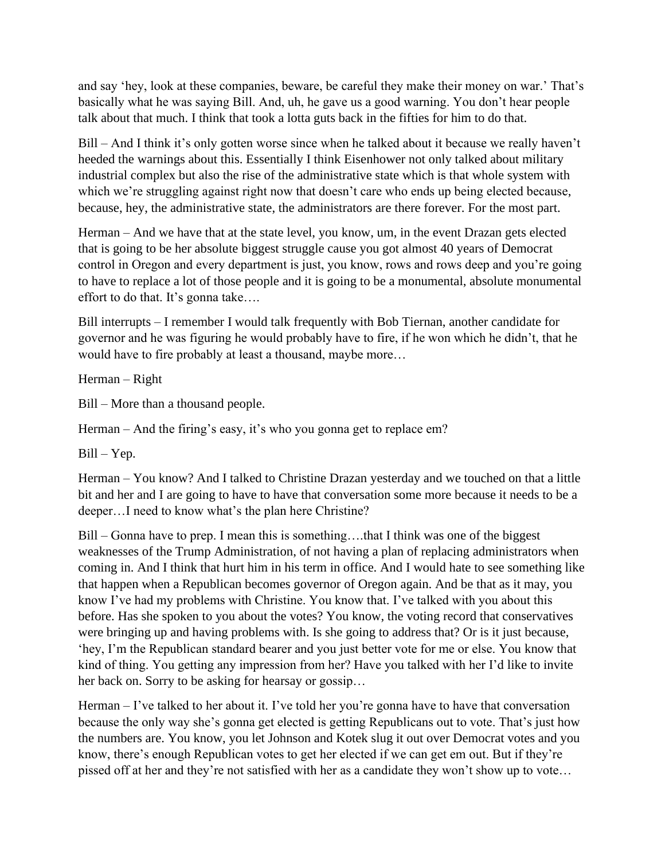and say 'hey, look at these companies, beware, be careful they make their money on war.' That's basically what he was saying Bill. And, uh, he gave us a good warning. You don't hear people talk about that much. I think that took a lotta guts back in the fifties for him to do that.

Bill – And I think it's only gotten worse since when he talked about it because we really haven't heeded the warnings about this. Essentially I think Eisenhower not only talked about military industrial complex but also the rise of the administrative state which is that whole system with which we're struggling against right now that doesn't care who ends up being elected because, because, hey, the administrative state, the administrators are there forever. For the most part.

Herman – And we have that at the state level, you know, um, in the event Drazan gets elected that is going to be her absolute biggest struggle cause you got almost 40 years of Democrat control in Oregon and every department is just, you know, rows and rows deep and you're going to have to replace a lot of those people and it is going to be a monumental, absolute monumental effort to do that. It's gonna take….

Bill interrupts – I remember I would talk frequently with Bob Tiernan, another candidate for governor and he was figuring he would probably have to fire, if he won which he didn't, that he would have to fire probably at least a thousand, maybe more…

Herman – Right

Bill – More than a thousand people.

Herman – And the firing's easy, it's who you gonna get to replace em?

Bill – Yep.

Herman – You know? And I talked to Christine Drazan yesterday and we touched on that a little bit and her and I are going to have to have that conversation some more because it needs to be a deeper…I need to know what's the plan here Christine?

Bill – Gonna have to prep. I mean this is something….that I think was one of the biggest weaknesses of the Trump Administration, of not having a plan of replacing administrators when coming in. And I think that hurt him in his term in office. And I would hate to see something like that happen when a Republican becomes governor of Oregon again. And be that as it may, you know I've had my problems with Christine. You know that. I've talked with you about this before. Has she spoken to you about the votes? You know, the voting record that conservatives were bringing up and having problems with. Is she going to address that? Or is it just because, 'hey, I'm the Republican standard bearer and you just better vote for me or else. You know that kind of thing. You getting any impression from her? Have you talked with her I'd like to invite her back on. Sorry to be asking for hearsay or gossip…

Herman – I've talked to her about it. I've told her you're gonna have to have that conversation because the only way she's gonna get elected is getting Republicans out to vote. That's just how the numbers are. You know, you let Johnson and Kotek slug it out over Democrat votes and you know, there's enough Republican votes to get her elected if we can get em out. But if they're pissed off at her and they're not satisfied with her as a candidate they won't show up to vote…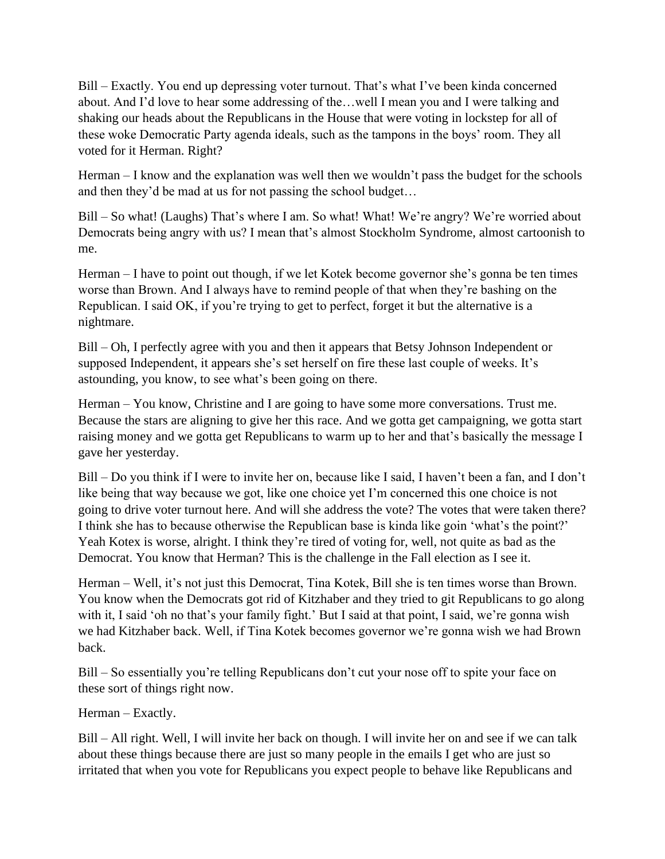Bill – Exactly. You end up depressing voter turnout. That's what I've been kinda concerned about. And I'd love to hear some addressing of the…well I mean you and I were talking and shaking our heads about the Republicans in the House that were voting in lockstep for all of these woke Democratic Party agenda ideals, such as the tampons in the boys' room. They all voted for it Herman. Right?

Herman – I know and the explanation was well then we wouldn't pass the budget for the schools and then they'd be mad at us for not passing the school budget…

Bill – So what! (Laughs) That's where I am. So what! What! We're angry? We're worried about Democrats being angry with us? I mean that's almost Stockholm Syndrome, almost cartoonish to me.

Herman – I have to point out though, if we let Kotek become governor she's gonna be ten times worse than Brown. And I always have to remind people of that when they're bashing on the Republican. I said OK, if you're trying to get to perfect, forget it but the alternative is a nightmare.

Bill – Oh, I perfectly agree with you and then it appears that Betsy Johnson Independent or supposed Independent, it appears she's set herself on fire these last couple of weeks. It's astounding, you know, to see what's been going on there.

Herman – You know, Christine and I are going to have some more conversations. Trust me. Because the stars are aligning to give her this race. And we gotta get campaigning, we gotta start raising money and we gotta get Republicans to warm up to her and that's basically the message I gave her yesterday.

Bill – Do you think if I were to invite her on, because like I said, I haven't been a fan, and I don't like being that way because we got, like one choice yet I'm concerned this one choice is not going to drive voter turnout here. And will she address the vote? The votes that were taken there? I think she has to because otherwise the Republican base is kinda like goin 'what's the point?' Yeah Kotex is worse, alright. I think they're tired of voting for, well, not quite as bad as the Democrat. You know that Herman? This is the challenge in the Fall election as I see it.

Herman – Well, it's not just this Democrat, Tina Kotek, Bill she is ten times worse than Brown. You know when the Democrats got rid of Kitzhaber and they tried to git Republicans to go along with it, I said 'oh no that's your family fight.' But I said at that point, I said, we're gonna wish we had Kitzhaber back. Well, if Tina Kotek becomes governor we're gonna wish we had Brown back.

Bill – So essentially you're telling Republicans don't cut your nose off to spite your face on these sort of things right now.

Herman – Exactly.

Bill – All right. Well, I will invite her back on though. I will invite her on and see if we can talk about these things because there are just so many people in the emails I get who are just so irritated that when you vote for Republicans you expect people to behave like Republicans and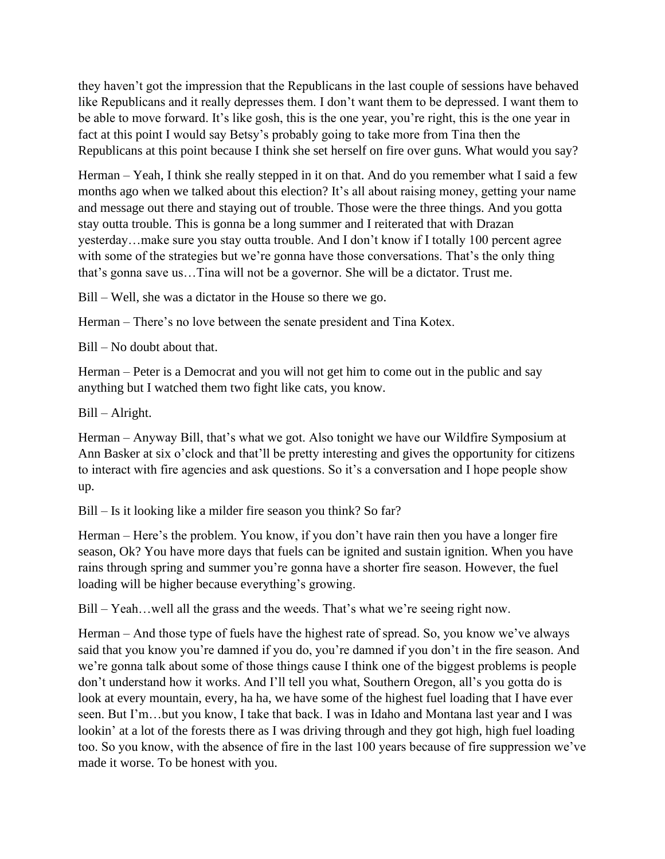they haven't got the impression that the Republicans in the last couple of sessions have behaved like Republicans and it really depresses them. I don't want them to be depressed. I want them to be able to move forward. It's like gosh, this is the one year, you're right, this is the one year in fact at this point I would say Betsy's probably going to take more from Tina then the Republicans at this point because I think she set herself on fire over guns. What would you say?

Herman – Yeah, I think she really stepped in it on that. And do you remember what I said a few months ago when we talked about this election? It's all about raising money, getting your name and message out there and staying out of trouble. Those were the three things. And you gotta stay outta trouble. This is gonna be a long summer and I reiterated that with Drazan yesterday…make sure you stay outta trouble. And I don't know if I totally 100 percent agree with some of the strategies but we're gonna have those conversations. That's the only thing that's gonna save us…Tina will not be a governor. She will be a dictator. Trust me.

Bill – Well, she was a dictator in the House so there we go.

Herman – There's no love between the senate president and Tina Kotex.

Bill – No doubt about that.

Herman – Peter is a Democrat and you will not get him to come out in the public and say anything but I watched them two fight like cats, you know.

Bill – Alright.

Herman – Anyway Bill, that's what we got. Also tonight we have our Wildfire Symposium at Ann Basker at six o'clock and that'll be pretty interesting and gives the opportunity for citizens to interact with fire agencies and ask questions. So it's a conversation and I hope people show up.

Bill – Is it looking like a milder fire season you think? So far?

Herman – Here's the problem. You know, if you don't have rain then you have a longer fire season, Ok? You have more days that fuels can be ignited and sustain ignition. When you have rains through spring and summer you're gonna have a shorter fire season. However, the fuel loading will be higher because everything's growing.

Bill – Yeah…well all the grass and the weeds. That's what we're seeing right now.

Herman – And those type of fuels have the highest rate of spread. So, you know we've always said that you know you're damned if you do, you're damned if you don't in the fire season. And we're gonna talk about some of those things cause I think one of the biggest problems is people don't understand how it works. And I'll tell you what, Southern Oregon, all's you gotta do is look at every mountain, every, ha ha, we have some of the highest fuel loading that I have ever seen. But I'm…but you know, I take that back. I was in Idaho and Montana last year and I was lookin' at a lot of the forests there as I was driving through and they got high, high fuel loading too. So you know, with the absence of fire in the last 100 years because of fire suppression we've made it worse. To be honest with you.